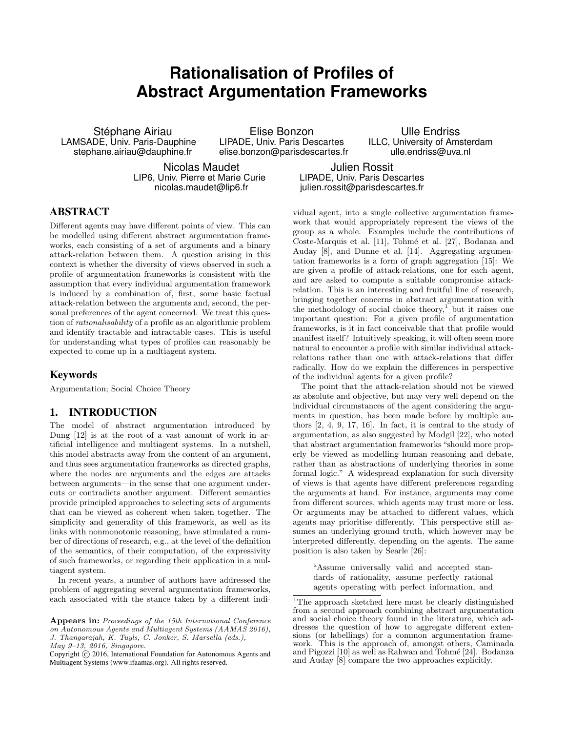# **Rationalisation of Profiles of Abstract Argumentation Frameworks**

Stéphane Airiau LAMSADE, Univ. Paris-Dauphine stephane.airiau@dauphine.fr

Elise Bonzon LIPADE, Univ. Paris Descartes elise.bonzon@parisdescartes.fr

Ulle Endriss ILLC, University of Amsterdam ulle.endriss@uva.nl

Nicolas Maudet LIP6, Univ. Pierre et Marie Curie nicolas.maudet@lip6.fr

Julien Rossit LIPADE, Univ. Paris Descartes julien.rossit@parisdescartes.fr

## ABSTRACT

Different agents may have different points of view. This can be modelled using different abstract argumentation frameworks, each consisting of a set of arguments and a binary attack-relation between them. A question arising in this context is whether the diversity of views observed in such a profile of argumentation frameworks is consistent with the assumption that every individual argumentation framework is induced by a combination of, first, some basic factual attack-relation between the arguments and, second, the personal preferences of the agent concerned. We treat this question of rationalisability of a profile as an algorithmic problem and identify tractable and intractable cases. This is useful for understanding what types of profiles can reasonably be expected to come up in a multiagent system.

### Keywords

Argumentation; Social Choice Theory

#### 1. INTRODUCTION

The model of abstract argumentation introduced by Dung [12] is at the root of a vast amount of work in artificial intelligence and multiagent systems. In a nutshell, this model abstracts away from the content of an argument, and thus sees argumentation frameworks as directed graphs, where the nodes are arguments and the edges are attacks between arguments—in the sense that one argument undercuts or contradicts another argument. Different semantics provide principled approaches to selecting sets of arguments that can be viewed as coherent when taken together. The simplicity and generality of this framework, as well as its links with nonmonotonic reasoning, have stimulated a number of directions of research, e.g., at the level of the definition of the semantics, of their computation, of the expressivity of such frameworks, or regarding their application in a multiagent system.

In recent years, a number of authors have addressed the problem of aggregating several argumentation frameworks, each associated with the stance taken by a different individual agent, into a single collective argumentation framework that would appropriately represent the views of the group as a whole. Examples include the contributions of Coste-Marquis et al. [11], Tohmé et al. [27], Bodanza and Auday [8], and Dunne et al. [14]. Aggregating argumentation frameworks is a form of graph aggregation [15]: We are given a profile of attack-relations, one for each agent, and are asked to compute a suitable compromise attackrelation. This is an interesting and fruitful line of research, bringing together concerns in abstract argumentation with the methodology of social choice theory, $\frac{1}{1}$  but it raises one important question: For a given profile of argumentation frameworks, is it in fact conceivable that that profile would manifest itself? Intuitively speaking, it will often seem more natural to encounter a profile with similar individual attackrelations rather than one with attack-relations that differ radically. How do we explain the differences in perspective of the individual agents for a given profile?

The point that the attack-relation should not be viewed as absolute and objective, but may very well depend on the individual circumstances of the agent considering the arguments in question, has been made before by multiple authors [2, 4, 9, 17, 16]. In fact, it is central to the study of argumentation, as also suggested by Modgil [22], who noted that abstract argumentation frameworks "should more properly be viewed as modelling human reasoning and debate, rather than as abstractions of underlying theories in some formal logic." A widespread explanation for such diversity of views is that agents have different preferences regarding the arguments at hand. For instance, arguments may come from different sources, which agents may trust more or less. Or arguments may be attached to different values, which agents may prioritise differently. This perspective still assumes an underlying ground truth, which however may be interpreted differently, depending on the agents. The same position is also taken by Searle [26]:

"Assume universally valid and accepted standards of rationality, assume perfectly rational agents operating with perfect information, and

Appears in: Proceedings of the 15th International Conference on Autonomous Agents and Multiagent Systems (AAMAS 2016), J. Thangarajah, K. Tuyls, C. Jonker, S. Marsella (eds.), May 9–13, 2016, Singapore.

Copyright (C) 2016, International Foundation for Autonomous Agents and Multiagent Systems (www.ifaamas.org). All rights reserved.

 $^1\rm{The}$  approach sketched here must be clearly distinguished from a second approach combining abstract argumentation and social choice theory found in the literature, which addresses the question of how to aggregate different extensions (or labellings) for a common argumentation framework. This is the approach of, amongst others, Caminada and Pigozzi [10] as well as Rahwan and Tohm´e [24]. Bodanza and Auday [8] compare the two approaches explicitly.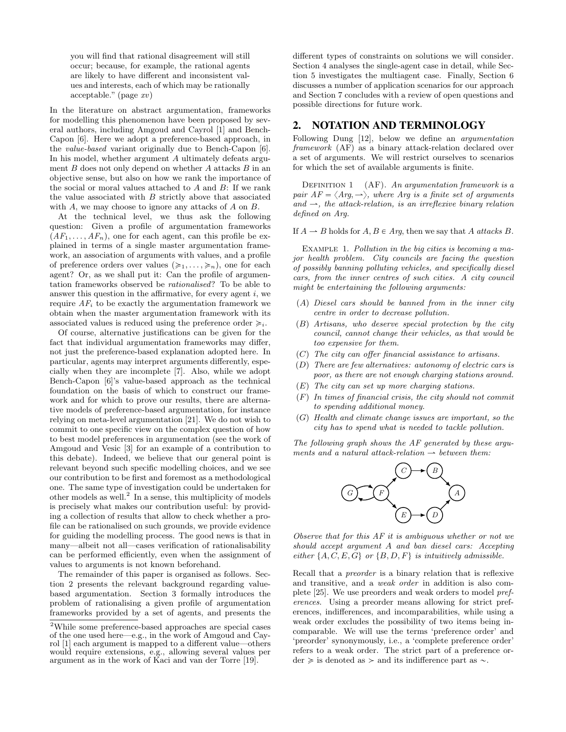you will find that rational disagreement will still occur; because, for example, the rational agents are likely to have different and inconsistent values and interests, each of which may be rationally acceptable." (page xv)

In the literature on abstract argumentation, frameworks for modelling this phenomenon have been proposed by several authors, including Amgoud and Cayrol [1] and Bench-Capon [6]. Here we adopt a preference-based approach, in the value-based variant originally due to Bench-Capon [6]. In his model, whether argument A ultimately defeats argument  $B$  does not only depend on whether  $A$  attacks  $B$  in an objective sense, but also on how we rank the importance of the social or moral values attached to  $A$  and  $B$ : If we rank the value associated with  $B$  strictly above that associated with A, we may choose to ignore any attacks of A on B.

At the technical level, we thus ask the following question: Given a profile of argumentation frameworks  $(AF_1, \ldots, AF_n)$ , one for each agent, can this profile be explained in terms of a single master argumentation framework, an association of arguments with values, and a profile of preference orders over values  $(\geq 1, \ldots, \geq n)$ , one for each agent? Or, as we shall put it: Can the profile of argumentation frameworks observed be rationalised? To be able to answer this question in the affirmative, for every agent  $i$ , we require  $AF<sub>i</sub>$  to be exactly the argumentation framework we obtain when the master argumentation framework with its associated values is reduced using the preference order  $\geq i$ .

Of course, alternative justifications can be given for the fact that individual argumentation frameworks may differ, not just the preference-based explanation adopted here. In particular, agents may interpret arguments differently, especially when they are incomplete [7]. Also, while we adopt Bench-Capon [6]'s value-based approach as the technical foundation on the basis of which to construct our framework and for which to prove our results, there are alternative models of preference-based argumentation, for instance relying on meta-level argumentation [21]. We do not wish to commit to one specific view on the complex question of how to best model preferences in argumentation (see the work of Amgoud and Vesic [3] for an example of a contribution to this debate). Indeed, we believe that our general point is relevant beyond such specific modelling choices, and we see our contribution to be first and foremost as a methodological one. The same type of investigation could be undertaken for other models as well.<sup>2</sup> In a sense, this multiplicity of models is precisely what makes our contribution useful: by providing a collection of results that allow to check whether a profile can be rationalised on such grounds, we provide evidence for guiding the modelling process. The good news is that in many—albeit not all—cases verification of rationalisability can be performed efficiently, even when the assignment of values to arguments is not known beforehand.

The remainder of this paper is organised as follows. Section 2 presents the relevant background regarding valuebased argumentation. Section 3 formally introduces the problem of rationalising a given profile of argumentation frameworks provided by a set of agents, and presents the different types of constraints on solutions we will consider. Section 4 analyses the single-agent case in detail, while Section 5 investigates the multiagent case. Finally, Section 6 discusses a number of application scenarios for our approach and Section 7 concludes with a review of open questions and possible directions for future work.

#### 2. NOTATION AND TERMINOLOGY

Following Dung [12], below we define an argumentation framework (AF) as a binary attack-relation declared over a set of arguments. We will restrict ourselves to scenarios for which the set of available arguments is finite.

DEFINITION 1 (AF). An argumentation framework is a pair  $AF = \langle Arg, \rightarrow \rangle$ , where Arg is a finite set of arguments and  $\rightarrow$ , the attack-relation, is an irreflexive binary relation defined on Arg.

If  $A \rightarrow B$  holds for  $A, B \in Arg$ , then we say that A attacks B.

EXAMPLE 1. Pollution in the big cities is becoming a major health problem. City councils are facing the question of possibly banning polluting vehicles, and specifically diesel cars, from the inner centres of such cities. A city council might be entertaining the following arguments:

- $(A)$  Diesel cars should be banned from in the inner city centre in order to decrease pollution.
- $(B)$  Artisans, who deserve special protection by the city council, cannot change their vehicles, as that would be too expensive for them.
- $(C)$  The city can offer financial assistance to artisans.
- $(D)$  There are few alternatives: autonomy of electric cars is poor, as there are not enough charging stations around.
- $(E)$  The city can set up more charging stations.
- $(F)$  In times of financial crisis, the city should not commit to spending additional money.
- $(G)$  Health and climate change issues are important, so the city has to spend what is needed to tackle pollution.

The following graph shows the AF generated by these arguments and a natural attack-relation  $\rightarrow$  between them:



Observe that for this AF it is ambiguous whether or not we should accept argument A and ban diesel cars: Accepting either  $\{A, C, E, G\}$  or  $\{B, D, F\}$  is intuitively admissible.

Recall that a preorder is a binary relation that is reflexive and transitive, and a weak order in addition is also complete [25]. We use preorders and weak orders to model preferences. Using a preorder means allowing for strict preferences, indifferences, and incomparabilities, while using a weak order excludes the possibility of two items being incomparable. We will use the terms 'preference order' and 'preorder' synonymously, i.e., a 'complete preference order' refers to a weak order. The strict part of a preference or- $\text{der} \geqslant \text{ is denoted as } \geqslant \text{ and its indifference part as } \sim.$ 

<sup>2</sup>While some preference-based approaches are special cases of the one used here—e.g., in the work of Amgoud and Cayrol [1] each argument is mapped to a different value—others would require extensions, e.g., allowing several values per argument as in the work of Kaci and van der Torre [19].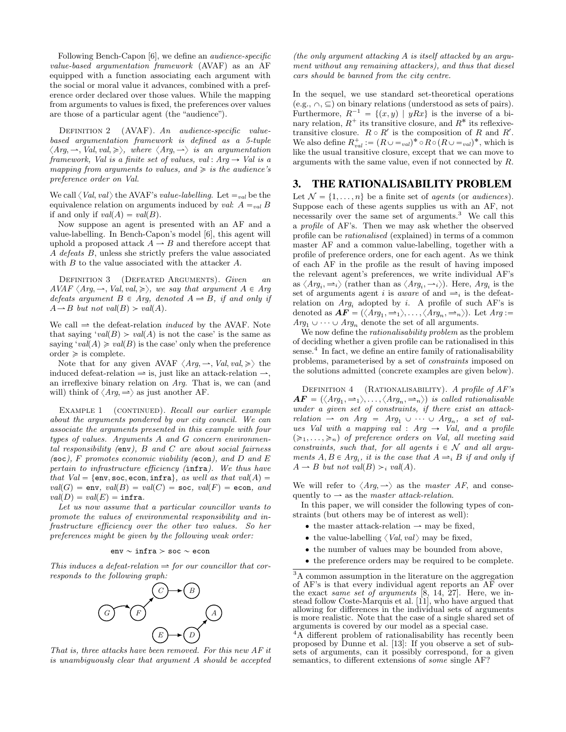Following Bench-Capon [6], we define an audience-specific value-based argumentation framework (AVAF) as an AF equipped with a function associating each argument with the social or moral value it advances, combined with a preference order declared over those values. While the mapping from arguments to values is fixed, the preferences over values are those of a particular agent (the "audience").

DEFINITION 2 (AVAF). An audience-specific valuebased argumentation framework is defined as a 5-tuple  $\langle Arg, \rightarrow, Val, val, \geq \rangle$ , where  $\langle Arg, \rightarrow \rangle$  is an argumentation framework, Val is a finite set of values, val : Arg  $\rightarrow$  Val is a mapping from arguments to values, and  $\geq$  is the audience's preference order on Val.

We call  $\langle Val, val \rangle$  the AVAF's *value-labelling*. Let  $=_{val}$  be the equivalence relation on arguments induced by val:  $A =_{val} B$ if and only if  $val(A) = val(B)$ .

Now suppose an agent is presented with an AF and a value-labelling. In Bench-Capon's model [6], this agent will uphold a proposed attack  $A \rightarrow B$  and therefore accept that A defeats B, unless she strictly prefers the value associated with B to the value associated with the attacker A.

DEFINITION 3 (DEFEATED ARGUMENTS). Given an  $AVAF \langle Arg, \rightarrow, Val, val, \geqslant \rangle$ , we say that argument  $A \in Arg$ defeats argument  $B \in Arg$ , denoted  $A \rightleftharpoons B$ , if and only if  $A \rightarrow B$  but not val(B) > val(A).

We call  $\Rightarrow$  the defeat-relation *induced* by the AVAF. Note that saying 'val(B)  $> val(A)$  is not the case' is the same as saying 'val(A)  $\geq val(B)$  is the case' only when the preference  $order \geqslant$  is complete.

Note that for any given AVAF  $\langle Arg, \rightarrow, Val, val, \geq \rangle$  the induced defeat-relation  $\Rightarrow$  is, just like an attack-relation  $\rightarrow$ , an irreflexive binary relation on Arg. That is, we can (and will) think of  $\langle Arg, \Rightarrow \rangle$  as just another AF.

EXAMPLE 1 (CONTINUED). Recall our earlier example about the arguments pondered by our city council. We can associate the arguments presented in this example with four types of values. Arguments A and G concern environmental responsibility (env),  $B$  and  $C$  are about social fairness  $(\texttt{soc})$ , F promotes economic viability (econ), and D and E pertain to infrastructure efficiency (infra). We thus have that  $Val = \{env, soc, econ, infra\}, as well as that val(A) =$  $val(G) = env$ ,  $val(B) = val(C) = soc$ ,  $val(F) = econ$ , and  $val(D) = val(E) = \inf \text{ra}.$ 

Let us now assume that a particular councillor wants to promote the values of environmental responsibility and infrastructure efficiency over the other two values. So her preferences might be given by the following weak order:

env $\sim$ infra $>$ soc $\sim$ econ

This induces a defeat-relation  $\Rightarrow$  for our councillor that corresponds to the following graph:



That is, three attacks have been removed. For this new AF it is unambiguously clear that argument A should be accepted

(the only argument attacking A is itself attacked by an argument without any remaining attackers), and thus that diesel cars should be banned from the city centre.

In the sequel, we use standard set-theoretical operations  $(e.g., \cap, \subseteq)$  on binary relations (understood as sets of pairs). Furthermore,  $R^{-1} = \{(x, y) | yRx\}$  is the inverse of a binary relation,  $R^+$  its transitive closure, and  $R^*$  its reflexivetransitive closure.  $R \circ R'$  is the composition of R and R'. We also define  $R_{val}^+ := (R \cup \equiv_{val})^* \circ R \circ (R \cup \equiv_{val})^*$ , which is like the usual transitive closure, except that we can move to arguments with the same value, even if not connected by R.

#### 3. THE RATIONALISABILITY PROBLEM

Let  $\mathcal{N} = \{1, \ldots, n\}$  be a finite set of agents (or audiences). Suppose each of these agents supplies us with an AF, not necessarily over the same set of arguments.<sup>3</sup> We call this a profile of AF's. Then we may ask whether the observed profile can be rationalised (explained) in terms of a common master AF and a common value-labelling, together with a profile of preference orders, one for each agent. As we think of each AF in the profile as the result of having imposed the relevant agent's preferences, we write individual AF's as  $\langle Arg_i, \rightleftharpoons_i \rangle$  (rather than as  $\langle Arg_i, \rightarrow_i \rangle$ ). Here,  $Arg_i$  is the set of arguments agent i is aware of and  $\Rightarrow$  is the defeatrelation on  $Arg_i$  adopted by i. A profile of such AF's is denoted as  $\boldsymbol{AF} = (\langle \textit{Arg}_1, \rightleftharpoons_1 \rangle, \dots, \langle \textit{Arg}_n, \rightleftharpoons_n \rangle)$ . Let  $\textit{Arg} :=$  $Arg_1 \cup \cdots \cup Arg_n$  denote the set of all arguments.

We now define the *rationalisability problem* as the problem of deciding whether a given profile can be rationalised in this sense.<sup>4</sup> In fact, we define an entire family of rationalisability problems, parameterised by a set of constraints imposed on the solutions admitted (concrete examples are given below).

DEFINITION  $4$  (RATIONALISABILITY). A profile of  $AF's$  $\boldsymbol{AF} = (\langle \boldsymbol{Arg}_1, \boldsymbol{\rightleftharpoons_1} \rangle, \dots, \langle \boldsymbol{Arg}_n, \boldsymbol{\rightleftharpoons_n} \rangle)$  is called rationalisable under a given set of constraints, if there exist an attackrelation  $\rightarrow$  on Arg = Arg<sub>1</sub>  $\cup \cdots \cup$  Arg<sub>n</sub>, a set of values Val with a mapping val : Arg  $\rightarrow$  Val, and a profile  $(\geq 1, \ldots, \geq n)$  of preference orders on Val, all meeting said constraints, such that, for all agents  $i \in \mathcal{N}$  and all arguments  $A, B \in Arg_i$ , it is the case that  $A \rightleftharpoons_i B$  if and only if  $A \rightarrow B$  but not val $(B) >_i$  val $(A)$ .

We will refer to  $\langle Arg, \rightarrow \rangle$  as the master AF, and consequently to  $\rightarrow$  as the master attack-relation.

In this paper, we will consider the following types of constraints (but others may be of interest as well):

- $\bullet$  the master attack-relation  $\rightharpoonup$  may be fixed,
- the value-labelling  $\langle Val, val \rangle$  may be fixed,
- the number of values may be bounded from above,
- ' the preference orders may be required to be complete.

 $\overline{{}^3\text{A}}$  common assumption in the literature on the aggregation of AF's is that every individual agent reports an AF over the exact same set of arguments [8, 14, 27]. Here, we instead follow Coste-Marquis et al. [11], who have argued that allowing for differences in the individual sets of arguments is more realistic. Note that the case of a single shared set of arguments is covered by our model as a special case.

<sup>&</sup>lt;sup>4</sup>A different problem of rationalisability has recently been proposed by Dunne et al. [13]: If you observe a set of subsets of arguments, can it possibly correspond, for a given semantics, to different extensions of some single AF?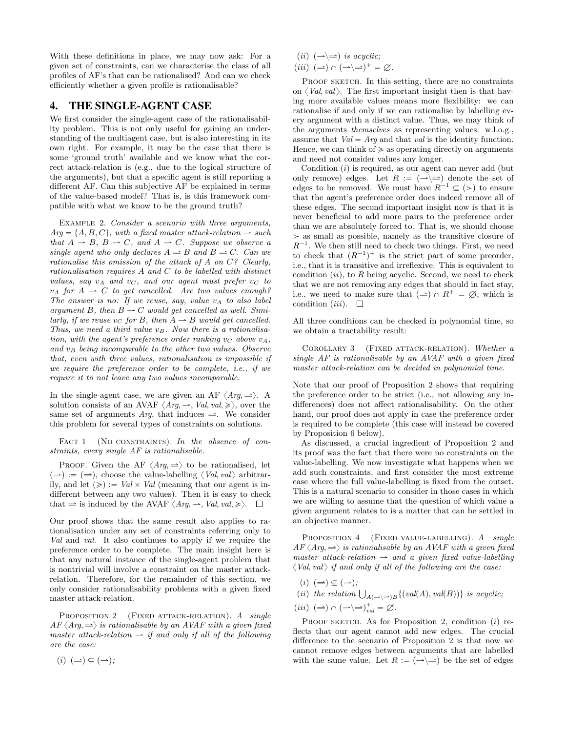With these definitions in place, we may now ask: For a given set of constraints, can we characterise the class of all profiles of AF's that can be rationalised? And can we check efficiently whether a given profile is rationalisable?

## 4. THE SINGLE-AGENT CASE

We first consider the single-agent case of the rationalisability problem. This is not only useful for gaining an understanding of the multiagent case, but is also interesting in its own right. For example, it may be the case that there is some 'ground truth' available and we know what the correct attack-relation is (e.g., due to the logical structure of the arguments), but that a specific agent is still reporting a different AF. Can this subjective AF be explained in terms of the value-based model? That is, is this framework compatible with what we know to be the ground truth?

EXAMPLE 2. Consider a scenario with three arguments,  $Arg = \{A, B, C\}$ , with a fixed master attack-relation  $\rightarrow$  such that  $A \rightarrow B$ ,  $B \rightarrow C$ , and  $A \rightarrow C$ . Suppose we observe a single agent who only declares  $A \rightleftharpoons B$  and  $B \rightleftharpoons C$ . Can we rationalise this omission of the attack of A on C? Clearly, rationalisation requires A and C to be labelled with distinct values, say  $v_A$  and  $v_C$ , and our agent must prefer  $v_C$  to  $v_A$  for  $A \rightharpoonup C$  to get cancelled. Are two values enough? The answer is no: If we reuse, say, value  $v_A$  to also label argument B, then  $B \to C$  would get cancelled as well. Similarly, if we reuse  $v_C$  for B, then  $A \rightarrow B$  would get cancelled. Thus, we need a third value  $v_B$ . Now there is a rationalisation, with the agent's preference order ranking  $v_C$  above  $v_A$ , and  $v_B$  being incomparable to the other two values. Observe that, even with three values, rationalisation is impossible if we require the preference order to be complete, i.e., if we require it to not leave any two values incomparable.

In the single-agent case, we are given an AF  $\langle Arg, \Rightarrow \rangle$ . A solution consists of an AVAF  $\langle Arg, \rightarrow, Val, val, \geq \rangle$ , over the same set of arguments  $Arq$ , that induces  $\Rightarrow$ . We consider this problem for several types of constraints on solutions.

FACT 1 (NO CONSTRAINTS). In the absence of constraints, every single AF is rationalisable.

PROOF. Given the AF  $\langle Arg, \Rightarrow \rangle$  to be rationalised, let  $(\rightarrow) := (\rightarrow)$ , choose the value-labelling  $\langle Val, val \rangle$  arbitrarily, and let  $(\geqslant) := Val \times Val$  (meaning that our agent is indifferent between any two values). Then it is easy to check that  $\Rightarrow$  is induced by the AVAF  $\langle Arg, \rightarrow, Val, val, \geq \rangle$ .  $\Box$ 

Our proof shows that the same result also applies to rationalisation under any set of constraints referring only to Val and val. It also continues to apply if we require the preference order to be complete. The main insight here is that any natural instance of the single-agent problem that is nontrivial will involve a constraint on the master attackrelation. Therefore, for the remainder of this section, we only consider rationalisability problems with a given fixed master attack-relation.

PROPOSITION 2 (FIXED ATTACK-RELATION). A single  $AF \langle Arg, \Rightarrow \rangle$  is rationalisable by an AVAF with a given fixed master attack-relation  $\rightarrow$  if and only if all of the following are the case:

 $(i)$   $(\Rightarrow) \subseteq (\rightarrow);$ 

- piiq pázÝq is acyclic;
- $(iii)$   $(\Rightarrow) \cap (\rightarrow) \Rightarrow$   $^+ = \varnothing$ .

PROOF SKETCH. In this setting, there are no constraints on  $\langle Val, val \rangle$ . The first important insight then is that having more available values means more flexibility: we can rationalise if and only if we can rationalise by labelling every argument with a distinct value. Thus, we may think of the arguments themselves as representing values: w.l.o.g., assume that  $Val = Ara$  and that val is the identity function. Hence, we can think of  $\geq$  as operating directly on arguments and need not consider values any longer.

Condition  $(i)$  is required, as our agent can never add (but only remove) edges. Let  $R := (\longrightarrow \Longrightarrow)$  denote the set of edges to be removed. We must have  $R^{-1} \subseteq (>)$  to ensure that the agent's preference order does indeed remove all of these edges. The second important insight now is that it is never beneficial to add more pairs to the preference order than we are absolutely forced to. That is, we should choose  $>$  as small as possible, namely as the transitive closure of  $R^{-1}$ . We then still need to check two things. First, we need to check that  $(R^{-1})^+$  is the strict part of some preorder, i.e., that it is transitive and irreflexive. This is equivalent to condition  $(ii)$ , to R being acyclic. Second, we need to check that we are not removing any edges that should in fact stay, i.e., we need to make sure that  $(\Rightarrow) \cap R^+ = \emptyset$ , which is condition *(iii)*.  $\Box$ 

All three conditions can be checked in polynomial time, so we obtain a tractability result:

COROLLARY 3 (FIXED ATTACK-RELATION). Whether a single AF is rationalisable by an AVAF with a given fixed master attack-relation can be decided in polynomial time.

Note that our proof of Proposition 2 shows that requiring the preference order to be strict (i.e., not allowing any indifferences) does not affect rationalisability. On the other hand, our proof does not apply in case the preference order is required to be complete (this case will instead be covered by Proposition 6 below).

As discussed, a crucial ingredient of Proposition 2 and its proof was the fact that there were no constraints on the value-labelling. We now investigate what happens when we add such constraints, and first consider the most extreme case where the full value-labelling is fixed from the outset. This is a natural scenario to consider in those cases in which we are willing to assume that the question of which value a given argument relates to is a matter that can be settled in an objective manner.

PROPOSITION 4 (FIXED VALUE-LABELLING). A single  $AF \langle Arg, \Rightarrow \rangle$  is rationalisable by an AVAF with a given fixed master attack-relation  $\rightarrow$  and a given fixed value-labelling  $\langle Val, val \rangle$  if and only if all of the following are the case:

- $(i)$   $(\Rightarrow) \subseteq (\rightarrow);$
- (i)  $(\Rightarrow) \subseteq (\rightarrow)$ ;<br>
(ii) the relation  $\bigcup_{A(\rightarrow) \Rightarrow B} \{ (val(A), val(B)) \}$  is acyclic;
- $(iii)$   $(\Rightarrow) \cap (\rightarrow) \Rightarrow )_{val}^+ = \varnothing$ .

PROOF SKETCH. As for Proposition 2, condition  $(i)$  reflects that our agent cannot add new edges. The crucial difference to the scenario of Proposition 2 is that now we cannot remove edges between arguments that are labelled with the same value. Let  $R := (\rightarrow \rightarrow)$  be the set of edges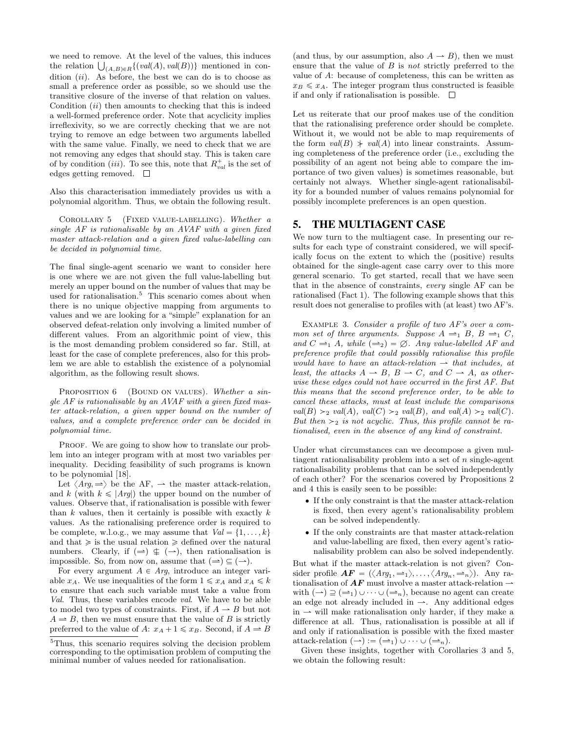we need to remove. At the level of the values, this induces we need to remove. At the level of the values, this induces<br>the relation  $\bigcup_{(A,B)\in\mathbb{R}}\{(val(A),val(B))\}$  mentioned in condition  $(ii)$ . As before, the best we can do is to choose as small a preference order as possible, so we should use the transitive closure of the inverse of that relation on values. Condition  $(ii)$  then amounts to checking that this is indeed a well-formed preference order. Note that acyclicity implies irreflexivity, so we are correctly checking that we are not trying to remove an edge between two arguments labelled with the same value. Finally, we need to check that we are not removing any edges that should stay. This is taken care of by condition *(iii)*. To see this, note that  $R_{val}^+$  is the set of edges getting removed.  $\square$ 

Also this characterisation immediately provides us with a polynomial algorithm. Thus, we obtain the following result.

COROLLARY 5 (FIXED VALUE-LABELLING). Whether  $a$ single AF is rationalisable by an AVAF with a given fixed master attack-relation and a given fixed value-labelling can be decided in polynomial time.

The final single-agent scenario we want to consider here is one where we are not given the full value-labelling but merely an upper bound on the number of values that may be used for rationalisation.<sup>5</sup> This scenario comes about when there is no unique objective mapping from arguments to values and we are looking for a "simple" explanation for an observed defeat-relation only involving a limited number of different values. From an algorithmic point of view, this is the most demanding problem considered so far. Still, at least for the case of complete preferences, also for this problem we are able to establish the existence of a polynomial algorithm, as the following result shows.

PROPOSITION 6 (BOUND ON VALUES). Whether a single AF is rationalisable by an AVAF with a given fixed master attack-relation, a given upper bound on the number of values, and a complete preference order can be decided in polynomial time.

PROOF. We are going to show how to translate our problem into an integer program with at most two variables per inequality. Deciding feasibility of such programs is known to be polynomial [18].

Let  $\langle Arg, \Rightarrow \rangle$  be the AF,  $\rightarrow$  the master attack-relation, and k (with  $k \leq |Arg|$ ) the upper bound on the number of values. Observe that, if rationalisation is possible with fewer than  $k$  values, then it certainly is possible with exactly  $k$ values. As the rationalising preference order is required to be complete, w.l.o.g., we may assume that  $Val = \{1, ..., k\}$ and that  $\geq$  is the usual relation  $\geq$  defined over the natural numbers. Clearly, if  $(\Rightarrow) \notin (\rightarrow)$ , then rationalisation is impossible. So, from now on, assume that  $(\Rightarrow) \subseteq (\rightarrow)$ .

For every argument  $A \in Arg$ , introduce an integer variable  $x_A$ . We use inequalities of the form  $1 \le x_A$  and  $x_A \le k$ to ensure that each such variable must take a value from Val. Thus, these variables encode val. We have to be able to model two types of constraints. First, if  $A \rightarrow B$  but not  $A \rightleftharpoons B$ , then we must ensure that the value of B is strictly preferred to the value of A:  $x_A + 1 \le x_B$ . Second, if  $A \rightharpoonup B$ 

(and thus, by our assumption, also  $A \rightarrow B$ ), then we must ensure that the value of B is not strictly preferred to the value of A: because of completeness, this can be written as  $x_B \leq x_A$ . The integer program thus constructed is feasible if and only if rationalisation is possible.  $\Box$ 

Let us reiterate that our proof makes use of the condition that the rationalising preference order should be complete. Without it, we would not be able to map requirements of the form  $val(B)$   $\neq val(A)$  into linear constraints. Assuming completeness of the preference order (i.e., excluding the possibility of an agent not being able to compare the importance of two given values) is sometimes reasonable, but certainly not always. Whether single-agent rationalisability for a bounded number of values remains polynomial for possibly incomplete preferences is an open question.

### 5. THE MULTIAGENT CASE

We now turn to the multiagent case. In presenting our results for each type of constraint considered, we will specifically focus on the extent to which the (positive) results obtained for the single-agent case carry over to this more general scenario. To get started, recall that we have seen that in the absence of constraints, every single AF can be rationalised (Fact 1). The following example shows that this result does not generalise to profiles with (at least) two AF's.

Example 3. Consider a profile of two AF's over a common set of three arguments. Suppose  $A \rightleftharpoons_1 B$ ,  $B \rightleftharpoons_1 C$ , and  $C \rightleftharpoons_1 A$ , while  $(\rightleftharpoons_2) = \emptyset$ . Any value-labelled AF and preference profile that could possibly rationalise this profile would have to have an attack-relation  $\rightarrow$  that includes, at least, the attacks  $A \rightarrow B$ ,  $B \rightarrow C$ , and  $C \rightarrow A$ , as otherwise these edges could not have occurred in the first AF. But this means that the second preference order, to be able to cancel these attacks, must at least include the comparisons  $val(B) >_2 val(A), val(C) >_2 val(B), and val(A) >_2 val(C).$ But then  $\geq_2$  is not acyclic. Thus, this profile cannot be rationalised, even in the absence of any kind of constraint.

Under what circumstances can we decompose a given multiagent rationalisability problem into a set of  $n$  single-agent rationalisability problems that can be solved independently of each other? For the scenarios covered by Propositions 2 and 4 this is easily seen to be possible:

- ' If the only constraint is that the master attack-relation is fixed, then every agent's rationalisability problem can be solved independently.
- ' If the only constraints are that master attack-relation and value-labelling are fixed, then every agent's rationalisability problem can also be solved independently.

But what if the master attack-relation is not given? Consider profile  $\boldsymbol{AF} = (\langle \boldsymbol{Arg}_1, \boldsymbol{\rightleftharpoons}_1 \rangle, \dots, \langle \boldsymbol{Arg}_n, \boldsymbol{\rightleftharpoons}_n \rangle)$ . Any rationalisation of  $AF$  must involve a master attack-relation  $\rightarrow$ with  $(\rightarrow) \supseteq (\equiv_1) \cup \cdots \cup (\equiv_n)$ , because no agent can create an edge not already included in  $\rightarrow$ . Any additional edges in  $\rightarrow$  will make rationalisation only harder, if they make a difference at all. Thus, rationalisation is possible at all if and only if rationalisation is possible with the fixed master attack-relation  $(\rightarrow) := (\rightleftharpoons_1) \cup \cdots \cup (\rightleftharpoons_n)$ .

Given these insights, together with Corollaries 3 and 5, we obtain the following result:

<sup>5</sup>Thus, this scenario requires solving the decision problem corresponding to the optimisation problem of computing the minimal number of values needed for rationalisation.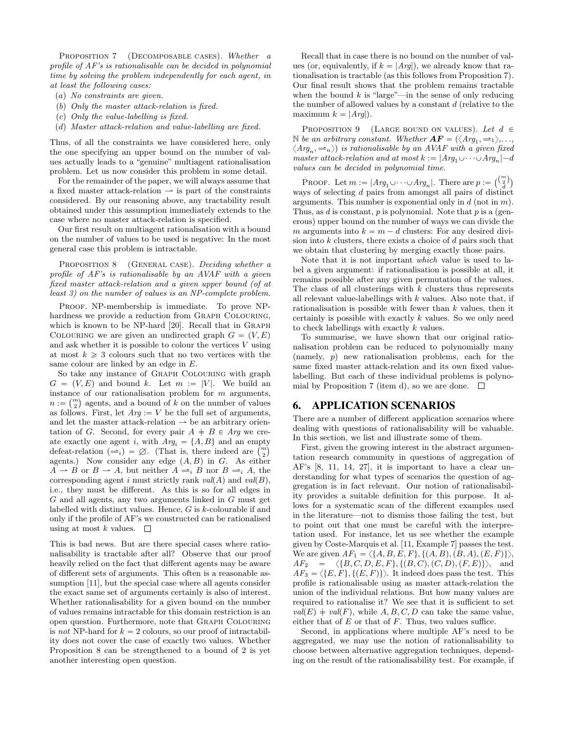PROPOSITION 7 (DECOMPOSABLE CASES). Whether a profile of AF's is rationalisable can be decided in polynomial time by solving the problem independently for each agent, in at least the following cases:

- $(a)$  No constraints are given.
- $p(b)$  Only the master attack-relation is fixed.
- $(c)$  Only the value-labelling is fixed.
- $(d)$  Master attack-relation and value-labelling are fixed.

Thus, of all the constraints we have considered here, only the one specifying an upper bound on the number of values actually leads to a "genuine" multiagent rationalisation problem. Let us now consider this problem in some detail.

For the remainder of the paper, we will always assume that a fixed master attack-relation  $\rightarrow$  is part of the constraints considered. By our reasoning above, any tractability result obtained under this assumption immediately extends to the case where no master attack-relation is specified.

Our first result on multiagent rationalisation with a bound on the number of values to be used is negative: In the most general case this problem is intractable.

PROPOSITION 8 (GENERAL CASE). Deciding whether a profile of AF's is rationalisable by an AVAF with a given fixed master attack-relation and a given upper bound (of at least 3) on the number of values is an NP-complete problem.

PROOF. NP-membership is immediate. To prove NPhardness we provide a reduction from GRAPH COLOURING, which is known to be NP-hard [20]. Recall that in Graph COLOURING we are given an undirected graph  $G = (V, E)$ and ask whether it is possible to colour the vertices  $V$  using at most  $k \geq 3$  colours such that no two vertices with the same colour are linked by an edge in E.

So take any instance of Graph Colouring with graph  $G = (V, E)$  and bound k. Let  $m := |V|$ . We build an instance of our rationalisation problem for m arguments,<br> $m := \binom{m}{k}$  agents, and a bound of h on the number of values  $n := \binom{m}{2}$  agents, and a bound of k on the number of values as follows. First, let  $Arg := V$  be the full set of arguments, and let the master attack-relation  $\rightarrow$  be an arbitrary orientation of G. Second, for every pair  $A \doteq B \in \text{Arg}$  we create exactly one agent i, with  $Arg_i = \{A, B\}$  and an empty ate exactly one agent *i*, with  $Arg_i = \{A, B\}$  and an empt defeat-relation  $(\equiv_i) = \emptyset$ . (That is, there indeed are  $\binom{m}{2}$ agents.) Now consider any edge  $(A, B)$  in G. As either  $A \rightharpoonup B$  or  $B \rightharpoonup A$ , but neither  $A \rightharpoonup_i B$  nor  $B \rightharpoonup_i A$ , the corresponding agent i must strictly rank  $val(A)$  and  $val(B)$ , i.e., they must be different. As this is so for all edges in G and all agents, any two arguments linked in G must get labelled with distinct values. Hence, G is k-colourable if and only if the profile of AF's we constructed can be rationalised using at most k values.  $\square$ 

This is bad news. But are there special cases where rationalisability is tractable after all? Observe that our proof heavily relied on the fact that different agents may be aware of different sets of arguments. This often is a reasonable assumption [11], but the special case where all agents consider the exact same set of arguments certainly is also of interest. Whether rationalisability for a given bound on the number of values remains intractable for this domain restriction is an open question. Furthermore, note that Graph Colouring is not NP-hard for  $k = 2$  colours, so our proof of intractability does not cover the case of exactly two values. Whether Proposition 8 can be strengthened to a bound of 2 is yet another interesting open question.

Recall that in case there is no bound on the number of values (or, equivalently, if  $k = |Arg|$ ), we already know that rationalisation is tractable (as this follows from Proposition 7). Our final result shows that the problem remains tractable when the bound  $k$  is "large"—in the sense of only reducing the number of allowed values by a constant d (relative to the maximum  $k = |Arg|$ .

PROPOSITION 9 (LARGE BOUND ON VALUES). Let  $d \in$  $\mathbb N$  be an arbitrary constant. Whether  $\boldsymbol{AF} = (\langle \mathit{Arg}_1, \rightleftharpoons_1 \rangle, \ldots,$  $\langle Arg_n, \rightleftharpoons_n \rangle$  is rationalisable by an AVAF with a given fixed master attack-relation and at most  $k := |Arg_1 \cup \cdots \cup Arg_n| - d$ values can be decided in polynomial time.

PROOF. Let  $m := |Arg_1 \cup \cdots \cup Arg_n|$ . There are  $p := \binom{\binom{m}{2}}{d}$ ways of selecting d pairs from amongst all pairs of distinct arguments. This number is exponential only in  $d$  (not in  $m$ ). Thus, as  $d$  is constant,  $p$  is polynomial. Note that  $p$  is a (generous) upper bound on the number of ways we can divide the m arguments into  $k = m - d$  clusters: For any desired division into k clusters, there exists a choice of d pairs such that we obtain that clustering by merging exactly those pairs.

Note that it is not important which value is used to label a given argument: if rationalisation is possible at all, it remains possible after any given permutation of the values. The class of all clusterings with  $k$  clusters thus represents all relevant value-labellings with  $k$  values. Also note that, if rationalisation is possible with fewer than k values, then it certainly is possible with exactly k values. So we only need to check labellings with exactly k values.

To summarise, we have shown that our original rationalisation problem can be reduced to polynomially many (namely, p) new rationalisation problems, each for the same fixed master attack-relation and its own fixed valuelabelling. But each of these individual problems is polynomial by Proposition 7 (item d), so we are done.  $\Box$ 

#### 6. APPLICATION SCENARIOS

There are a number of different application scenarios where dealing with questions of rationalisability will be valuable. In this section, we list and illustrate some of them.

First, given the growing interest in the abstract argumentation research community in questions of aggregation of AF's [8, 11, 14, 27], it is important to have a clear understanding for what types of scenarios the question of aggregation is in fact relevant. Our notion of rationalisability provides a suitable definition for this purpose. It allows for a systematic scan of the different examples used in the literature—not to dismiss those failing the test, but to point out that one must be careful with the interpretation used. For instance, let us see whether the example given by Coste-Marquis et al. [11, Example 7] passes the test. We are given  $AF_1 = \langle \{A, B, E, F\}, \{(A, B), (B, A), (E, F)\} \rangle$ ,  $AF_2 = \langle {B, C, D, E, F}, { (B, C), (C, D), (F, E)} \rangle$ , and  $AF_3 = \langle \{E, F\}, \{(E, F)\} \rangle$ . It indeed does pass the test. This profile is rationalisable using as master attack-relation the union of the individual relations. But how many values are required to rationalise it? We see that it is sufficient to set  $val(E) + val(F)$ , while A, B, C, D can take the same value, either that of  $E$  or that of  $F$ . Thus, two values suffice.

Second, in applications where multiple AF's need to be aggregated, we may use the notion of rationalisability to choose between alternative aggregation techniques, depending on the result of the rationalisability test. For example, if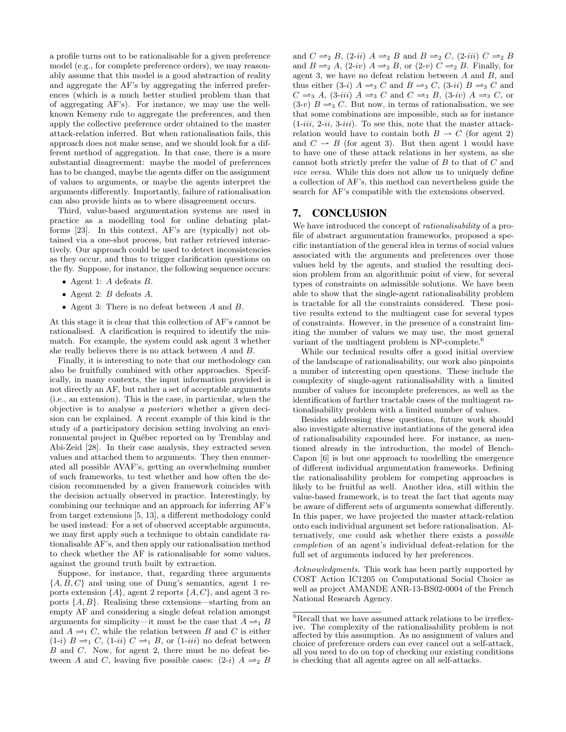a profile turns out to be rationalisable for a given preference model (e.g., for complete preference orders), we may reasonably assume that this model is a good abstraction of reality and aggregate the AF's by aggregating the inferred preferences (which is a much better studied problem than that of aggregating AF's). For instance, we may use the wellknown Kemeny rule to aggregate the preferences, and then apply the collective preference order obtained to the master attack-relation inferred. But when rationalisation fails, this approach does not make sense, and we should look for a different method of aggregation. In that case, there is a more substantial disagreement: maybe the model of preferences has to be changed, maybe the agents differ on the assignment of values to arguments, or maybe the agents interpret the arguments differently. Importantly, failure of rationalisation can also provide hints as to where disagreement occurs.

Third, value-based argumentation systems are used in practice as a modelling tool for online debating platforms [23]. In this context, AF's are (typically) not obtained via a one-shot process, but rather retrieved interactively. Our approach could be used to detect inconsistencies as they occur, and thus to trigger clarification questions on the fly. Suppose, for instance, the following sequence occurs:

- $\bullet$  Agent 1: A defeats B.
- $\bullet$  Agent 2:  $B$  defeats  $A$ .
- ' Agent 3: There is no defeat between A and B.

At this stage it is clear that this collection of AF's cannot be rationalised. A clarification is required to identify the mismatch. For example, the system could ask agent 3 whether she really believes there is no attack between A and B.

Finally, it is interesting to note that our methodology can also be fruitfully combined with other approaches. Specifically, in many contexts, the input information provided is not directly an AF, but rather a set of acceptable arguments (i.e., an extension). This is the case, in particular, when the objective is to analyse a posteriori whether a given decision can be explained. A recent example of this kind is the study of a participatory decision setting involving an environmental project in Québec reported on by Tremblay and Abi-Zeid [28]. In their case analysis, they extracted seven values and attached them to arguments. They then enumerated all possible AVAF's, getting an overwhelming number of such frameworks, to test whether and how often the decision recommended by a given framework coincides with the decision actually observed in practice. Interestingly, by combining our technique and an approach for inferring AF's from target extensions [5, 13], a different methodology could be used instead: For a set of observed acceptable arguments, we may first apply such a technique to obtain candidate rationalisable AF's, and then apply our rationalisation method to check whether the AF is rationalisable for some values, against the ground truth built by extraction.

Suppose, for instance, that, regarding three arguments  $\{A, B, C\}$  and using one of Dung's semantics, agent 1 reports extension  $\{A\}$ , agent 2 reports  $\{A, C\}$ , and agent 3 reports  $\{A, B\}$ . Realising these extensions—starting from an empty AF and considering a single defeat relation amongst arguments for simplicity—it must be the case that  $A \rightleftharpoons_1 B$ and  $A \rightleftharpoons_1 C$ , while the relation between B and C is either  $(1-i)$   $B \rightleftharpoons_1 C$ ,  $(1-iii)$   $C \rightleftharpoons_1 B$ , or  $(1-iii)$  no defeat between B and C. Now, for agent 2, there must be no defeat between A and C, leaving five possible cases:  $(2-i)$   $A \rightleftharpoons_{2} B$  and  $C \rightleftharpoons_2 B$ , (2-ii)  $A \rightleftharpoons_2 B$  and  $B \rightleftharpoons_2 C$ , (2-iii)  $C \rightleftharpoons_2 B$ and  $B \rightleftharpoons_2 A$ , (2-iv)  $A \rightleftharpoons_2 B$ , or (2-v)  $C \rightleftharpoons_2 B$ . Finally, for agent 3, we have no defeat relation between A and B, and thus either (3-i)  $A \rightleftharpoons_3 C$  and  $B \rightleftharpoons_3 C$ , (3-ii)  $B \rightleftharpoons_3 C$  and  $C \rightleftharpoons_3 A$ , (3-iii)  $A \rightleftharpoons_3 C$  and  $C \rightleftharpoons_3 B$ , (3-iv)  $A \rightleftharpoons_3 C$ , or  $(3-v)$   $B \rightleftharpoons_{3} C$ . But now, in terms of rationalisation, we see that some combinations are impossible, such as for instance  $(1-iii, 2-ii, 3-iii)$ . To see this, note that the master attackrelation would have to contain both  $B \rightharpoonup C$  (for agent 2) and  $C \rightarrow B$  (for agent 3). But then agent 1 would have to have one of these attack relations in her system, as she cannot both strictly prefer the value of B to that of C and vice versa. While this does not allow us to uniquely define a collection of AF's, this method can nevertheless guide the search for AF's compatible with the extensions observed.

## 7. CONCLUSION

We have introduced the concept of *rationalisability* of a profile of abstract argumentation frameworks, proposed a specific instantiation of the general idea in terms of social values associated with the arguments and preferences over those values held by the agents, and studied the resulting decision problem from an algorithmic point of view, for several types of constraints on admissible solutions. We have been able to show that the single-agent rationalisability problem is tractable for all the constraints considered. These positive results extend to the multiagent case for several types of constraints. However, in the presence of a constraint limiting the number of values we may use, the most general variant of the multiagent problem is NP-complete.<sup>6</sup>

While our technical results offer a good initial overview of the landscape of rationalisability, our work also pinpoints a number of interesting open questions. These include the complexity of single-agent rationalisability with a limited number of values for incomplete preferences, as well as the identification of further tractable cases of the multiagent rationalisability problem with a limited number of values.

Besides addressing these questions, future work should also investigate alternative instantiations of the general idea of rationalisability expounded here. For instance, as mentioned already in the introduction, the model of Bench-Capon [6] is but one approach to modelling the emergence of different individual argumentation frameworks. Defining the rationalisability problem for competing approaches is likely to be fruitful as well. Another idea, still within the value-based framework, is to treat the fact that agents may be aware of different sets of arguments somewhat differently. In this paper, we have projected the master attack-relation onto each individual argument set before rationalisation. Alternatively, one could ask whether there exists a possible completion of an agent's individual defeat-relation for the full set of arguments induced by her preferences.

Acknowledgments. This work has been partly supported by COST Action IC1205 on Computational Social Choice as well as project AMANDE ANR-13-BS02-0004 of the French National Research Agency.

 $^6\rm Recall$  that we have assumed attack relations to be irreflexive. The complexity of the rationalisability problem is not affected by this assumption. As no assignment of values and choice of preference orders can ever cancel out a self-attack, all you need to do on top of checking our existing conditions is checking that all agents agree on all self-attacks.